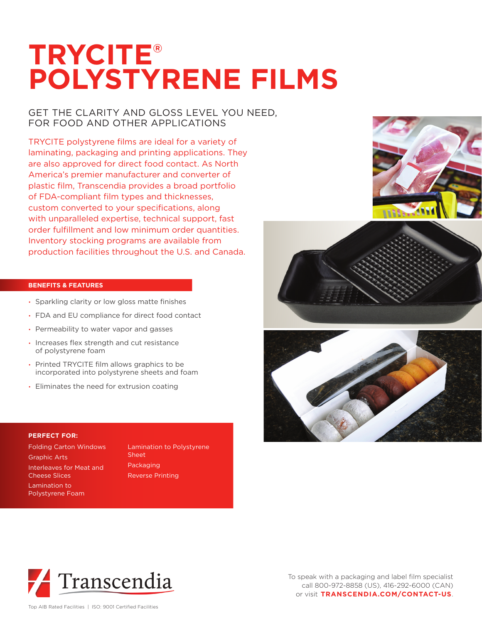# **TRYCITE® POLYSTYRENE FILMS**

## GET THE CLARITY AND GLOSS LEVEL YOU NEED, FOR FOOD AND OTHER APPLICATIONS

TRYCITE polystyrene films are ideal for a variety of laminating, packaging and printing applications. They are also approved for direct food contact. As North America's premier manufacturer and converter of plastic film, Transcendia provides a broad portfolio of FDA-compliant film types and thicknesses, custom converted to your specifications, along with unparalleled expertise, technical support, fast order fulfillment and low minimum order quantities. Inventory stocking programs are available from production facilities throughout the U.S. and Canada.

### **BENEFITS & FEATURES**

- Sparkling clarity or low gloss matte finishes
- FDA and EU compliance for direct food contact
- Permeability to water vapor and gasses
- Increases flex strength and cut resistance of polystyrene foam
- Printed TRYCITE film allows graphics to be incorporated into polystyrene sheets and foam
- Eliminates the need for extrusion coating

#### **PERFECT FOR:**

Folding Carton Windows Graphic Arts Interleaves for Meat and Cheese Slices Lamination to Polystyrene Foam

Lamination to Polystyrene Sheet Packaging Reverse Printing









To speak with a packaging and label film specialist call 800-972-8858 (US), 416-292-6000 (CAN) or visit **TRANSCENDIA.COM/CONTACT-US**.